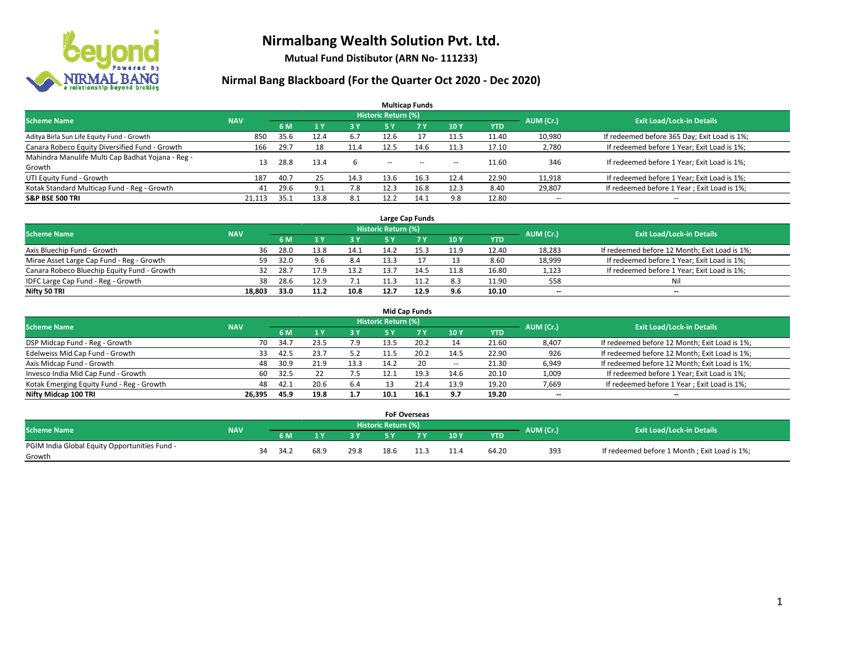

**Mutual Fund Distibutor (ARN No- 111233)**

| <b>Multicap Funds</b>                             |            |      |      |      |                            |       |                          |            |                          |                                              |  |  |  |
|---------------------------------------------------|------------|------|------|------|----------------------------|-------|--------------------------|------------|--------------------------|----------------------------------------------|--|--|--|
| <b>Scheme Name</b>                                | <b>NAV</b> |      |      |      | <b>Historic Return (%)</b> |       |                          |            | AUM (Cr.)                | <b>Exit Load/Lock-in Details</b>             |  |  |  |
|                                                   |            | 6 M  | 1 Y  | 3 Y  | 5 Y                        | 7 Y   | 10Y                      | <b>YTD</b> |                          |                                              |  |  |  |
| Aditya Birla Sun Life Equity Fund - Growth        | 850        | 35.6 | 12.4 | 6.7  | 12.6                       |       | 11.5                     | 11.40      | 10,980                   | If redeemed before 365 Day; Exit Load is 1%; |  |  |  |
| Canara Robeco Equity Diversified Fund - Growth    | 166        | 29.7 |      | 11.4 | 12.5                       | 14.6  | 11.3                     | 17.10      | 2,780                    | If redeemed before 1 Year; Exit Load is 1%;  |  |  |  |
| Mahindra Manulife Multi Cap Badhat Yojana - Reg - | 13         | 28.8 | 13.4 |      |                            |       |                          | 11.60      | 346                      | If redeemed before 1 Year; Exit Load is 1%;  |  |  |  |
| Growth                                            |            |      |      |      | $\overline{\phantom{a}}$   | $- -$ | $\overline{\phantom{a}}$ |            |                          |                                              |  |  |  |
| UTI Equity Fund - Growth                          | 187        | 40.7 | 25   | 14.3 | 13.6                       | 16.3  | 12.4                     | 22.90      | 11,918                   | If redeemed before 1 Year; Exit Load is 1%;  |  |  |  |
| Kotak Standard Multicap Fund - Reg - Growth       | 41         | 29.6 | 9.1  | 7.8  | 12.3                       | 16.8  | 12.3                     | 8.40       | 29,807                   | If redeemed before 1 Year; Exit Load is 1%;  |  |  |  |
| <b>S&amp;P BSE 500 TRI</b>                        | 21.113     | ذ.35 | 13.8 | 8.1  | 12.2                       | 14.1  | 9.8                      | 12.80      | $\overline{\phantom{a}}$ | $- -$                                        |  |  |  |

|                                             |            |       |      |      |                            | Large Cap Funds |      |            |           |                                               |
|---------------------------------------------|------------|-------|------|------|----------------------------|-----------------|------|------------|-----------|-----------------------------------------------|
| <b>Scheme Name</b>                          | <b>NAV</b> |       |      |      | <b>Historic Return (%)</b> |                 |      |            | AUM (Cr.) | <b>Exit Load/Lock-in Details</b>              |
|                                             |            | 6 M   |      | 3Y   |                            | <b>7Y</b>       | 10Y  | <b>YTD</b> |           |                                               |
| Axis Bluechip Fund - Growth                 | 36         | 28.0  | 13.8 | 14.1 | 14.2                       |                 | 11.9 | 12.40      | 18,283    | If redeemed before 12 Month; Exit Load is 1%; |
| Mirae Asset Large Cap Fund - Reg - Growth   | 59         | 32.0  | 9.6  | 8.4  | 13.3                       |                 |      | 8.60       | 18,999    | If redeemed before 1 Year; Exit Load is 1%;   |
| Canara Robeco Bluechip Equity Fund - Growth |            | -28.7 |      | 13.2 | 13.7                       |                 | 11.8 | 16.80      | 1,123     | If redeemed before 1 Year; Exit Load is 1%;   |
| IDFC Large Cap Fund - Reg - Growth          | 38         | 28.6  |      |      |                            |                 | 8.3  | 11.90      | 558       | Nil                                           |
| Nifty 50 TRI                                | 18.803     | 33.0  | 11.2 | 10.8 | 12.7                       | 12.9            | 9.6  | 10.10      | $- -$     | $-$                                           |

| <b>Mid Cap Funds</b>                      |            |           |                                  |           |      |      |       |            |       |                                               |  |  |  |
|-------------------------------------------|------------|-----------|----------------------------------|-----------|------|------|-------|------------|-------|-----------------------------------------------|--|--|--|
| <b>Scheme Name</b>                        | <b>NAV</b> | AUM (Cr.) | <b>Exit Load/Lock-in Details</b> |           |      |      |       |            |       |                                               |  |  |  |
|                                           |            | 6 M       |                                  | <b>3Y</b> | 5 Y  |      | 10Y   | <b>YTD</b> |       |                                               |  |  |  |
| DSP Midcap Fund - Reg - Growth            | 70         | 34.7      | 23.5                             | 7.9       | 13.5 | 20.2 | 14    | 21.60      | 8,407 | If redeemed before 12 Month; Exit Load is 1%; |  |  |  |
| Edelweiss Mid Cap Fund - Growth           | 33         | 42.5      | 23.7                             | ے.د       | 11.5 | 20.2 | 14.5  | 22.90      | 926   | If redeemed before 12 Month; Exit Load is 1%; |  |  |  |
| Axis Midcap Fund - Growth                 | 48         | 30.9      | 21.9                             | 13.3      | 14.2 | 20   | $\!-$ | 21.30      | 6,949 | If redeemed before 12 Month; Exit Load is 1%; |  |  |  |
| Invesco India Mid Cap Fund - Growth       | 60         | 32.5      |                                  | 7.5       |      | 19.3 | 14.6  | 20.10      | 1,009 | If redeemed before 1 Year; Exit Load is 1%;   |  |  |  |
| Kotak Emerging Equity Fund - Reg - Growth | 48         | 42.1      | 20.6                             | 6.4       |      | 21.4 | 13.9  | 19.20      | 7,669 | If redeemed before 1 Year; Exit Load is 1%;   |  |  |  |
| Nifty Midcap 100 TRI                      | 26.395     | 45.9      | 19.8                             | 1.7       | 10.1 | 16.1 | 9.7   | 19.20      | --    | $\overline{\phantom{a}}$                      |  |  |  |

|                                                         |            |    |      |      |      | <b>FoF Overseas</b> |     |     |            |           |                                              |
|---------------------------------------------------------|------------|----|------|------|------|---------------------|-----|-----|------------|-----------|----------------------------------------------|
| Scheme Name                                             | <b>NAV</b> |    |      |      |      | Historic Return (%) |     |     |            | AUM (Cr.) | <b>Exit Load/Lock-in Details</b>             |
|                                                         |            |    | 6 M  |      | o v  |                     | 7 V | 10Y | <b>YTD</b> |           |                                              |
| PGIM India Global Equity Opportunities Fund -<br>Growth |            | 34 | 34.2 | 68.9 | 29.8 | 18.6                |     |     | 64.20      | 393       | If redeemed before 1 Month; Exit Load is 1%; |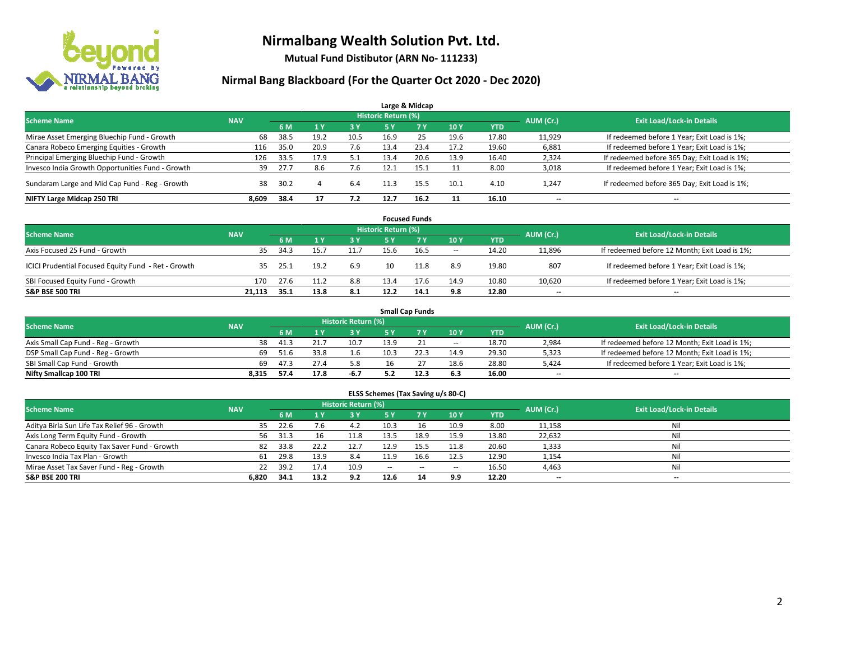

**Mutual Fund Distibutor (ARN No- 111233)**

|                                                  |            |      |                |      |                     | Large & Midcap |      |            |           |                                              |
|--------------------------------------------------|------------|------|----------------|------|---------------------|----------------|------|------------|-----------|----------------------------------------------|
| <b>Scheme Name</b>                               | <b>NAV</b> |      |                |      | Historic Return (%) |                |      |            | AUM (Cr.) | <b>Exit Load/Lock-in Details</b>             |
|                                                  |            | 6 M  | 1 <sub>Y</sub> | 3 Y  | 5 Y                 | 7Y             | 10Y  | <b>YTD</b> |           |                                              |
| Mirae Asset Emerging Bluechip Fund - Growth      | 68         | 38.5 | 19.2           | 10.5 | 16.9                | 25             | 19.6 | 17.80      | 11,929    | If redeemed before 1 Year; Exit Load is 1%;  |
| Canara Robeco Emerging Equities - Growth         | 116        | 35.0 | 20.9           | 7.6  | 13.4                | 23.4           | 17.2 | 19.60      | 6,881     | If redeemed before 1 Year; Exit Load is 1%;  |
| Principal Emerging Bluechip Fund - Growth        | 126        | 33.5 | 17.9           | 5.1  | 13.4                | 20.6           | 13.9 | 16.40      | 2,324     | If redeemed before 365 Day; Exit Load is 1%; |
| Invesco India Growth Opportunities Fund - Growth | 39         | 27.7 | 8.6            | 7.6  | 12.1                | 15.1           |      | 8.00       | 3,018     | If redeemed before 1 Year; Exit Load is 1%;  |
| Sundaram Large and Mid Cap Fund - Reg - Growth   | 38         | 30.2 |                | 6.4  | 11.3                | 15.5           | 10.1 | 4.10       | 1.247     | If redeemed before 365 Day; Exit Load is 1%; |
| NIFTY Large Midcap 250 TRI                       | 8,609      | 38.4 | 17             | 7.2  | 12.7                | 16.2           |      | 16.10      | $- -$     | $\overline{\phantom{a}}$                     |

|                                                     |            |      |      |           |                     | <b>Focused Funds</b> |        |       |           |                                               |
|-----------------------------------------------------|------------|------|------|-----------|---------------------|----------------------|--------|-------|-----------|-----------------------------------------------|
| <b>Scheme Name</b>                                  | <b>NAV</b> |      |      |           | Historic Return (%) |                      |        |       | AUM (Cr.) | <b>Exit Load/Lock-in Details</b>              |
|                                                     |            | 6 M  |      | <b>3Y</b> | 5 Y                 | <b>7Y</b>            | 10Y    | YTD   |           |                                               |
| Axis Focused 25 Fund - Growth                       | 35         | 34.3 | 15., | 11.7      | 15.6                | 16.5                 | $\sim$ | 14.20 | 11,896    | If redeemed before 12 Month; Exit Load is 1%; |
| ICICI Prudential Focused Equity Fund - Ret - Growth | 35.        | 25.1 | 19.2 | 6.9       |                     | 11.8                 | 8.9    | 19.80 | 807       | If redeemed before 1 Year; Exit Load is 1%;   |
| SBI Focused Equity Fund - Growth                    | 170        | 27.6 |      | 8.8       | 13.4                | 17.6                 | 14.9   | 10.80 | 10,620    | If redeemed before 1 Year; Exit Load is 1%;   |
| <b>S&amp;P BSE 500 TRI</b>                          | 21.113     | 35.1 | 13.8 | 8.1       | 12.2                | 14.1                 | 9.8    | 12.80 | $- -$     | $\overline{\phantom{a}}$                      |

|                                    |            |      |      |                     |      | <b>Small Cap Funds</b> |                          |            |           |                                               |
|------------------------------------|------------|------|------|---------------------|------|------------------------|--------------------------|------------|-----------|-----------------------------------------------|
| <b>Scheme Name</b>                 | <b>NAV</b> |      |      | Historic Return (%) |      |                        |                          |            |           | <b>Exit Load/Lock-in Details</b>              |
|                                    |            | 6 M  |      | 3 Y                 | 5 Y  |                        | 10Y                      | <b>YTD</b> | AUM (Cr.) |                                               |
| Axis Small Cap Fund - Reg - Growth | 38         | 41.3 | 21.7 | 10.7                | 13.9 |                        | $\hspace{0.05cm} \ldots$ | 18.70      | 2,984     | If redeemed before 12 Month; Exit Load is 1%; |
| DSP Small Cap Fund - Reg - Growth  | 69         | 51.6 | 33.8 | 1.6                 | 10.3 |                        | 14.9                     | 29.30      | 5,323     | If redeemed before 12 Month; Exit Load is 1%; |
| SBI Small Cap Fund - Growth        | 69         | 47.3 |      | 5.8                 |      |                        | 18.6                     | 28.80      | 5,424     | If redeemed before 1 Year; Exit Load is 1%;   |
| Nifty Smallcap 100 TRI             | 8.315      | 57.4 | 17.8 | -6.7                |      | 12.3                   | 6.3                      | 16.00      | $- -$     | $\overline{\phantom{a}}$                      |

| ELSS Schemes (Tax Saving u/s 80-C)                                                                              |       |      |      |      |               |             |                          |            |        |                          |  |  |  |  |
|-----------------------------------------------------------------------------------------------------------------|-------|------|------|------|---------------|-------------|--------------------------|------------|--------|--------------------------|--|--|--|--|
| <b>Historic Return (%)</b><br><b>Exit Load/Lock-in Details</b><br><b>Scheme Name</b><br>AUM (Cr.)<br><b>NAV</b> |       |      |      |      |               |             |                          |            |        |                          |  |  |  |  |
|                                                                                                                 |       | 6 M  | /1 Y | 3 Y  | <b>5Y</b>     | <b>77 Y</b> | 10Y                      | <b>YTD</b> |        |                          |  |  |  |  |
| Aditya Birla Sun Life Tax Relief 96 - Growth                                                                    | 35    | 22.6 | 7.6  | 4.2  | 10.3          | 16          | 10.9                     | 8.00       | 11,158 | Nil                      |  |  |  |  |
| Axis Long Term Equity Fund - Growth                                                                             | 56    | 31.3 | 16   | 11.8 | 13.5          | 18.9        | 15.9                     | 13.80      | 22,632 | Nil                      |  |  |  |  |
| Canara Robeco Equity Tax Saver Fund - Growth                                                                    | 82    | 33.8 | 22.2 | 12.7 | 12.9          | 15.5        | 11.8                     | 20.60      | 1,333  | Nil                      |  |  |  |  |
| Invesco India Tax Plan - Growth                                                                                 | 61    | 29.8 | 13.9 | 8.4  | 11.9          | 16.6        | 12.5                     | 12.90      | 1,154  | Nil                      |  |  |  |  |
| Mirae Asset Tax Saver Fund - Reg - Growth                                                                       | 22    | 39.2 | 17.4 | 10.9 | $\sim$ $\sim$ | $\sim$      | $\overline{\phantom{a}}$ | 16.50      | 4,463  | Nil                      |  |  |  |  |
| S&P BSE 200 TRI                                                                                                 | 6.820 | 34.1 | 13.2 | 9.2  | 12.6          | 14          | 9.9                      | 12.20      | $- -$  | $\overline{\phantom{a}}$ |  |  |  |  |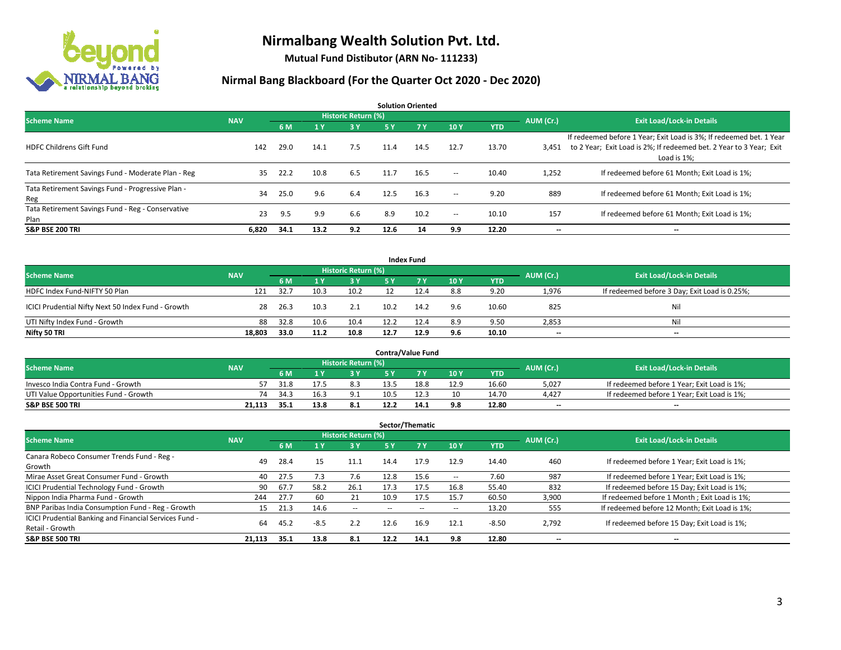

**Mutual Fund Distibutor (ARN No- 111233)**

| <b>Solution Oriented</b>                                  |            |      |      |                            |      |            |                          |            |           |                                                                                                                                                           |  |  |  |
|-----------------------------------------------------------|------------|------|------|----------------------------|------|------------|--------------------------|------------|-----------|-----------------------------------------------------------------------------------------------------------------------------------------------------------|--|--|--|
| <b>Scheme Name</b>                                        | <b>NAV</b> |      |      | <b>Historic Return (%)</b> |      |            |                          |            | AUM (Cr.) | <b>Exit Load/Lock-in Details</b>                                                                                                                          |  |  |  |
|                                                           |            | 6 M  | 1 Y  | 3 Y                        | 5 Y  | <b>7 Y</b> | 10Y                      | <b>YTD</b> |           |                                                                                                                                                           |  |  |  |
| <b>HDFC Childrens Gift Fund</b>                           | 142        | 29.0 | 14.1 | 7.5                        | 11.4 | 14.5       | 12.7                     | 13.70      | 3,451     | If redeemed before 1 Year; Exit Load is 3%; If redeemed bet. 1 Year<br>to 2 Year; Exit Load is 2%; If redeemed bet. 2 Year to 3 Year; Exit<br>Load is 1%: |  |  |  |
| Tata Retirement Savings Fund - Moderate Plan - Reg        | 35         | 22.2 | 10.8 | 6.5                        | 11.7 | 16.5       | $\overline{\phantom{a}}$ | 10.40      | 1,252     | If redeemed before 61 Month; Exit Load is 1%;                                                                                                             |  |  |  |
| Tata Retirement Savings Fund - Progressive Plan -<br>Reg  | 34         | 25.0 | 9.6  | 6.4                        | 12.5 | 16.3       | $\sim$ $\sim$            | 9.20       | 889       | If redeemed before 61 Month; Exit Load is 1%;                                                                                                             |  |  |  |
| Tata Retirement Savings Fund - Reg - Conservative<br>Plan | 23         | 9.5  | 9.9  | 6.6                        | 8.9  | 10.2       | $\!-$                    | 10.10      | 157       | If redeemed before 61 Month; Exit Load is 1%;                                                                                                             |  |  |  |
| <b>S&amp;P BSE 200 TRI</b>                                | 6.820      | 34.1 | 13.2 | 9.2                        | 12.6 | 14         | 9.9                      | 12.20      | --        | --                                                                                                                                                        |  |  |  |

| <b>Index Fund</b>                                  |            |                                  |      |       |      |           |     |            |       |                                               |  |  |  |
|----------------------------------------------------|------------|----------------------------------|------|-------|------|-----------|-----|------------|-------|-----------------------------------------------|--|--|--|
| <b>Scheme Name</b>                                 | AUM (Cr.)  | <b>Exit Load/Lock-in Details</b> |      |       |      |           |     |            |       |                                               |  |  |  |
|                                                    | <b>NAV</b> | 6 M                              |      | $-3V$ | 5 Y  | <b>7Y</b> | 10Y | <b>YTD</b> |       |                                               |  |  |  |
| HDFC Index Fund-NIFTY 50 Plan                      | 121        | 32.7                             | 10.3 | 10.2  |      | 12.4      | 8.8 | 9.20       | 1,976 | If redeemed before 3 Day; Exit Load is 0.25%; |  |  |  |
| ICICI Prudential Nifty Next 50 Index Fund - Growth | 28         | 26.3                             | 10.3 | 2.1   | 10.2 | 14.2      | 9.6 | 10.60      | 825   | Nil                                           |  |  |  |
| UTI Nifty Index Fund - Growth                      | 88         | 32.8                             | 10.6 | 10.4  | 12.2 | 12.4      | 8.9 | 9.50       | 2,853 | Nil                                           |  |  |  |
| Nifty 50 TRI                                       | 18.803     | 33.0                             | 11.2 | 10.8  | 12.7 | 12.9      | 9.6 | 10.10      | $- -$ | $\overline{\phantom{a}}$                      |  |  |  |

|                                       |            |       |      |                            |      | <b>Contra/Value Fund</b> |      |       |           |                                             |
|---------------------------------------|------------|-------|------|----------------------------|------|--------------------------|------|-------|-----------|---------------------------------------------|
| <b>Scheme Name</b>                    | <b>NAV</b> |       |      | <b>Historic Return (%)</b> |      |                          |      |       | AUM (Cr.) | <b>Exit Load/Lock-in Details</b>            |
|                                       |            | 6 M   |      | 3 Y                        |      | 7 V                      | 10Y  | YTD   |           |                                             |
| Invesco India Contra Fund - Growth    |            | 31.8  |      | 8.3                        | 13.5 | 18.8                     | 12.9 | 16.60 | 5,027     | If redeemed before 1 Year; Exit Load is 1%; |
| UTI Value Opportunities Fund - Growth | 74         | 34.3  | 16.3 | 9.1                        | 10.5 | 12.3                     | 10   | 14.70 | 4,427     | If redeemed before 1 Year; Exit Load is 1%; |
| <b>S&amp;P BSE 500 TRI</b>            | 21.113     | -35.1 | 13.8 | 8.1                        | 12.2 | 14.1                     | 9.8  | 12.80 | $- -$     | $- -$                                       |

| Sector/Thematic                                                           |            |      |                |                            |      |      |      |            |           |                                               |  |  |  |
|---------------------------------------------------------------------------|------------|------|----------------|----------------------------|------|------|------|------------|-----------|-----------------------------------------------|--|--|--|
| <b>Scheme Name</b>                                                        | <b>NAV</b> |      |                | <b>Historic Return (%)</b> |      |      |      |            | AUM (Cr.) | <b>Exit Load/Lock-in Details</b>              |  |  |  |
|                                                                           |            | 6 M  | 4 <sup>v</sup> | 3 Y                        | 5 Y  | 7Y   | 10Y  | <b>YTD</b> |           |                                               |  |  |  |
| Canara Robeco Consumer Trends Fund - Reg -<br>Growth                      | 49         | 28.4 | 15             | 11.1                       | 14.4 | 17.9 | 12.9 | 14.40      | 460       | If redeemed before 1 Year; Exit Load is 1%;   |  |  |  |
| Mirae Asset Great Consumer Fund - Growth                                  | 40         | 27.5 | 7.3            | 7.6                        | 12.8 | 15.6 | --   | 7.60       | 987       | If redeemed before 1 Year; Exit Load is 1%;   |  |  |  |
| <b>ICICI Prudential Technology Fund - Growth</b>                          | 90         | 67.7 | 58.2           | 26.1                       | 17.3 | 17.5 | 16.8 | 55.40      | 832       | If redeemed before 15 Day; Exit Load is 1%;   |  |  |  |
| Nippon India Pharma Fund - Growth                                         | 244        | 27.7 | 60             | 21                         | 10.9 | 17.5 | 15.7 | 60.50      | 3,900     | If redeemed before 1 Month; Exit Load is 1%;  |  |  |  |
| BNP Paribas India Consumption Fund - Reg - Growth                         | 15         | 21.3 | 14.6           | $\overline{\phantom{a}}$   |      |      | --   | 13.20      | 555       | If redeemed before 12 Month; Exit Load is 1%; |  |  |  |
| ICICI Prudential Banking and Financial Services Fund -<br>Retail - Growth | 64         | 45.2 | $-8.5$         | 2.2                        | 12.6 | 16.9 | 12.1 | $-8.50$    | 2,792     | If redeemed before 15 Day; Exit Load is 1%;   |  |  |  |
| <b>S&amp;P BSE 500 TRI</b>                                                | 21.113     | 35.1 | 13.8           | 8.1                        | 12.2 | 14.1 | 9.8  | 12.80      | --        | --                                            |  |  |  |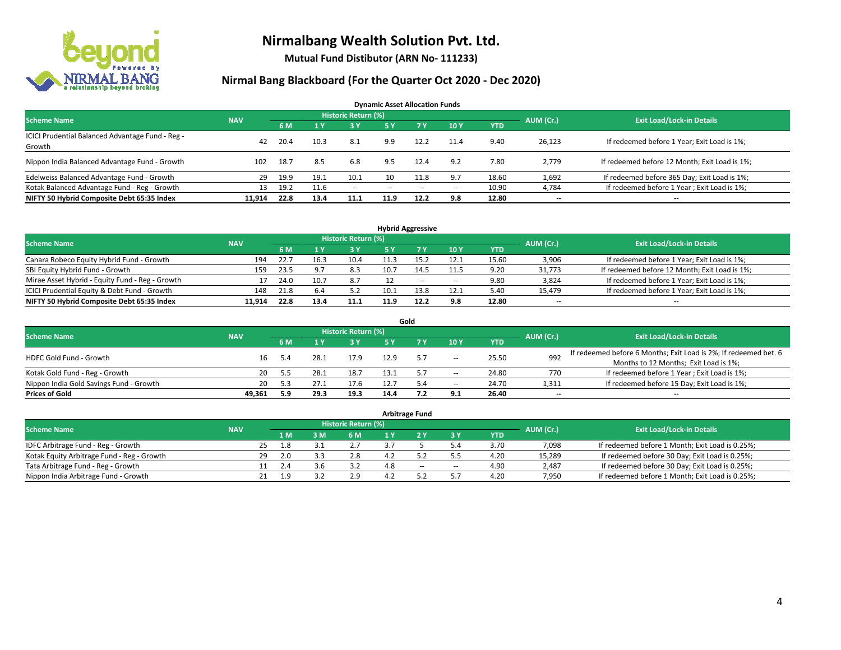

**Mutual Fund Distibutor (ARN No- 111233)**

| <b>Dynamic Asset Allocation Funds</b><br><b>Historic Return (%)</b> |            |      |      |        |               |        |                          |            |           |                                               |  |  |  |  |
|---------------------------------------------------------------------|------------|------|------|--------|---------------|--------|--------------------------|------------|-----------|-----------------------------------------------|--|--|--|--|
| <b>Scheme Name</b>                                                  | <b>NAV</b> | 6 M  |      | $-3V$  | <b>5 Y</b>    | 7V     | 10Y                      | <b>YTD</b> | AUM (Cr.) | <b>Exit Load/Lock-in Details</b>              |  |  |  |  |
| ICICI Prudential Balanced Advantage Fund - Reg -<br>Growth          | 42         | 20.4 | 10.3 | 8.1    | 9.9           | 12.2   | 11.4                     | 9.40       | 26,123    | If redeemed before 1 Year; Exit Load is 1%;   |  |  |  |  |
| Nippon India Balanced Advantage Fund - Growth                       | 102        | 18.7 | 8.5  | 6.8    | 9.5           | 12.4   | 9.2                      | 7.80       | 2.779     | If redeemed before 12 Month; Exit Load is 1%; |  |  |  |  |
| Edelweiss Balanced Advantage Fund - Growth                          | 29         | 19.9 | 19.1 | 10.1   | 10            | 11.8   | 9.7                      | 18.60      | 1,692     | If redeemed before 365 Day; Exit Load is 1%;  |  |  |  |  |
| Kotak Balanced Advantage Fund - Reg - Growth                        | 13         | 19.2 | 11.6 | $\sim$ | $\sim$ $\sim$ | $\sim$ | $\overline{\phantom{a}}$ | 10.90      | 4,784     | If redeemed before 1 Year; Exit Load is 1%;   |  |  |  |  |
| NIFTY 50 Hybrid Composite Debt 65:35 Index                          | 11.914     | 22.8 | 13.4 | 11.1   | 11.9          | 12.2   | 9.8                      | 12.80      | --        | --                                            |  |  |  |  |

| <b>Hybrid Aggressive</b>                        |            |      |                |                            |      |      |        |            |           |                                               |  |  |  |
|-------------------------------------------------|------------|------|----------------|----------------------------|------|------|--------|------------|-----------|-----------------------------------------------|--|--|--|
| <b>Scheme Name</b>                              | <b>NAV</b> |      |                | <b>Historic Return (%)</b> |      |      |        |            | AUM (Cr.) | <b>Exit Load/Lock-in Details</b>              |  |  |  |
|                                                 |            | 6 M  |                | 73 Y                       |      |      | 10Y    | <b>YTD</b> |           |                                               |  |  |  |
| Canara Robeco Equity Hybrid Fund - Growth       | 194        | 22.7 |                | 10.4                       |      | 15.2 | 12.1   | 15.60      | 3,906     | If redeemed before 1 Year; Exit Load is 1%;   |  |  |  |
| SBI Equity Hybrid Fund - Growth                 | 159        | 23.5 | Q <sub>7</sub> | 8.3                        | 10.7 | 14.5 | 11.5   | 9.20       | 31,773    | If redeemed before 12 Month; Exit Load is 1%; |  |  |  |
| Mirae Asset Hybrid - Equity Fund - Reg - Growth |            | 24.0 |                | 8.7                        |      | $-$  | $\sim$ | 9.80       | 3,824     | If redeemed before 1 Year; Exit Load is 1%;   |  |  |  |
| ICICI Prudential Equity & Debt Fund - Growth    | 148        | 21.8 | 6.4            | 5.2                        | 10.1 | 13.8 | 12.1   | 5.40       | 15,479    | If redeemed before 1 Year; Exit Load is 1%;   |  |  |  |
| NIFTY 50 Hybrid Composite Debt 65:35 Index      | 11.914     | 22.8 | 13.4           | 11.1                       |      | 12.2 | 9.8    | 12.80      | $- -$     | $\overline{\phantom{a}}$                      |  |  |  |

|                                         |            |     |      |                     |      | Gold |                          |            |                          |                                                                  |
|-----------------------------------------|------------|-----|------|---------------------|------|------|--------------------------|------------|--------------------------|------------------------------------------------------------------|
| <b>Scheme Name</b>                      | <b>NAV</b> |     |      | Historic Return (%) |      |      |                          |            | AUM (Cr.)                | <b>Exit Load/Lock-in Details</b>                                 |
|                                         |            | 6 M |      | <b>3Y</b>           | 5 Y  |      | 10Y                      | <b>YTD</b> |                          |                                                                  |
| HDFC Gold Fund - Growth                 | 16         | 5.4 | 28.1 | 17.9                | 12.9 | -5.7 | $\!-$                    | 25.50      | 992                      | If redeemed before 6 Months; Exit Load is 2%; If redeemed bet. 6 |
|                                         |            |     |      |                     |      |      |                          |            |                          | Months to 12 Months; Exit Load is 1%;                            |
| Kotak Gold Fund - Reg - Growth          | 20         | 5.5 | 28.1 | 18.7                |      |      | $\hspace{0.05cm} \ldots$ | 24.80      | 770                      | If redeemed before 1 Year; Exit Load is 1%;                      |
| Nippon India Gold Savings Fund - Growth | 20         | 5.3 | 27.1 | 17.6                |      | -5.4 | $\!-$                    | 24.70      | 1,311                    | If redeemed before 15 Day; Exit Load is 1%;                      |
| <b>Prices of Gold</b>                   | 49.361     | 5.9 | 29.3 | 19.3                | 14.4 |      | 9.1                      | 26.40      | $\overline{\phantom{a}}$ | $\overline{\phantom{a}}$                                         |

|                                            |            |     |     |                     | <b>Arbitrage Fund</b> |     |            |           |                                                 |
|--------------------------------------------|------------|-----|-----|---------------------|-----------------------|-----|------------|-----------|-------------------------------------------------|
| <b>Scheme Name</b>                         | <b>NAV</b> |     |     | Historic Return (%) |                       |     |            | AUM (Cr.) | <b>Exit Load/Lock-in Details</b>                |
|                                            |            |     | 1 M | 6 M                 |                       | 3 Y | <b>YTD</b> |           |                                                 |
| IDFC Arbitrage Fund - Reg - Growth         |            | 25. | 1.8 |                     |                       | 5.4 | 3.70       | 7,098     | If redeemed before 1 Month; Exit Load is 0.25%; |
| Kotak Equity Arbitrage Fund - Reg - Growth |            | 29  | 2.0 | 2.8                 |                       |     | 4.20       | 15,289    | If redeemed before 30 Day; Exit Load is 0.25%;  |
| Tata Arbitrage Fund - Reg - Growth         |            |     | 2.4 |                     | $-$                   | --  | 4.90       | 2.487     | If redeemed before 30 Day; Exit Load is 0.25%;  |
| Nippon India Arbitrage Fund - Growth       |            |     | 1 Q | 2.9                 |                       |     | 4.20       | 7.950     | If redeemed before 1 Month; Exit Load is 0.25%; |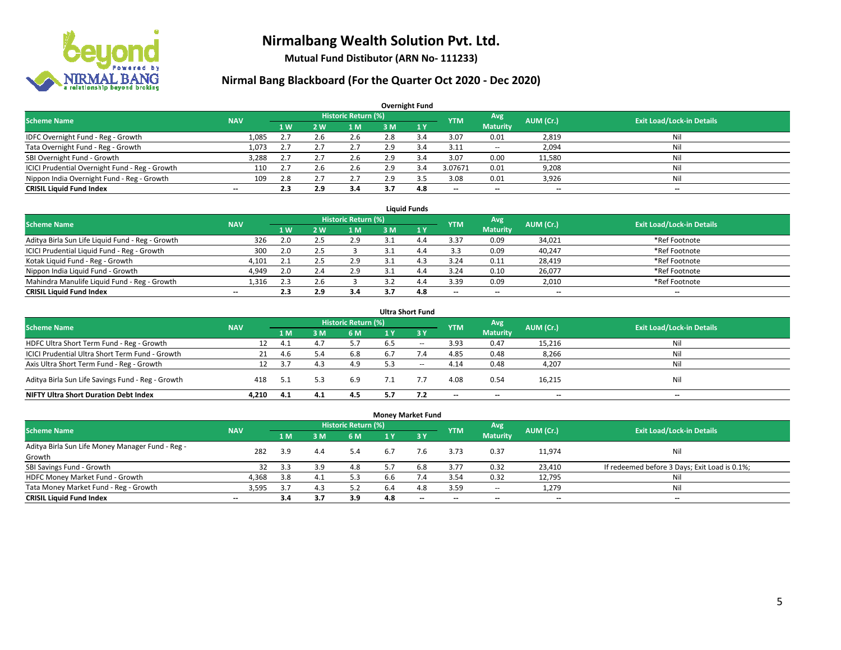

**Mutual Fund Distibutor (ARN No- 111233)**

|                                                |                          |     |     |                            |     | <b>Overnight Fund</b> |                          |                          |           |                                  |
|------------------------------------------------|--------------------------|-----|-----|----------------------------|-----|-----------------------|--------------------------|--------------------------|-----------|----------------------------------|
| <b>Scheme Name</b>                             | <b>NAV</b>               |     |     | <b>Historic Return (%)</b> |     |                       | <b>YTM</b>               | Avg                      | AUM (Cr.) | <b>Exit Load/Lock-in Details</b> |
|                                                |                          | 1 W | 2 W | l M                        | 3 M | 1Y                    |                          | <b>Maturity</b>          |           |                                  |
| IDFC Overnight Fund - Reg - Growth             | 1,085                    | 2.7 | 2.6 | 2.6                        | 2.8 | 3.4                   | 3.07                     | 0.01                     | 2,819     | Nil                              |
| Tata Overnight Fund - Reg - Growth             | 1,073                    | 2.7 | 2.7 | 2.7                        | 2.9 | 3.4                   | 3.11                     | $\sim$                   | 2,094     | Nil                              |
| SBI Overnight Fund - Growth                    | 3,288                    | 2.7 | 2.7 | 2.6                        | 2.9 | 3.4                   | 3.07                     | 0.00                     | 11,580    | Nil                              |
| ICICI Prudential Overnight Fund - Reg - Growth | 110                      | 2.7 | z.b | 2.6                        | 2.9 | 3.4                   | 3.07671                  | 0.01                     | 9,208     | Nil                              |
| Nippon India Overnight Fund - Reg - Growth     | 109                      | 2.8 |     | 2.7                        | 2.9 |                       | 3.08                     | 0.01                     | 3,926     | Nil                              |
| <b>CRISIL Liquid Fund Index</b>                | $\overline{\phantom{a}}$ | 2.3 | 2.9 | 3.4                        |     | 4.8                   | $\overline{\phantom{a}}$ | $\overline{\phantom{a}}$ | $- -$     | $-$                              |

| <b>Liquid Funds</b>                              |            |           |     |                            |     |     |                          |                 |           |                                  |  |  |  |
|--------------------------------------------------|------------|-----------|-----|----------------------------|-----|-----|--------------------------|-----------------|-----------|----------------------------------|--|--|--|
| <b>Scheme Name</b>                               | <b>NAV</b> |           |     | <b>Historic Return (%)</b> |     |     | <b>YTM</b>               | Avg             | AUM (Cr.) | <b>Exit Load/Lock-in Details</b> |  |  |  |
|                                                  |            | <b>1W</b> | 2W  | 1 M                        | 3 M |     |                          | <b>Maturity</b> |           |                                  |  |  |  |
| Aditya Birla Sun Life Liquid Fund - Reg - Growth | 326        | 2.0       |     | 2.9                        |     |     | 3.37                     | 0.09            | 34,021    | *Ref Footnote                    |  |  |  |
| ICICI Prudential Liquid Fund - Reg - Growth      | 300        | 2.0       |     |                            |     |     | 3.3                      | 0.09            | 40,247    | *Ref Footnote                    |  |  |  |
| Kotak Liquid Fund - Reg - Growth                 | 4,101      |           |     | 2.9                        |     |     | 3.24                     | 0.11            | 28,419    | *Ref Footnote                    |  |  |  |
| Nippon India Liquid Fund - Growth                | 4,949      | 2.0       |     | 2.9                        |     |     | 3.24                     | 0.10            | 26,077    | *Ref Footnote                    |  |  |  |
| Mahindra Manulife Liquid Fund - Reg - Growth     | 1.316      | 2.3       |     |                            |     | 4.4 | 3.39                     | 0.09            | 2,010     | *Ref Footnote                    |  |  |  |
| <b>CRISIL Liquid Fund Index</b>                  | $- -$      | 2.3       | 2.9 | 3.4                        |     | 4.8 | $\overline{\phantom{a}}$ | $- -$           | $- -$     | $-$                              |  |  |  |

|                                                                                                                                      |       |      |            |     |     | <b>Ultra Short Fund</b> |                          |                          |        |     |  |  |  |  |
|--------------------------------------------------------------------------------------------------------------------------------------|-------|------|------------|-----|-----|-------------------------|--------------------------|--------------------------|--------|-----|--|--|--|--|
| <b>Historic Return (%)</b><br>Avg<br><b>Exit Load/Lock-in Details</b><br>AUM (Cr.)<br><b>Scheme Name</b><br><b>NAV</b><br><b>YTM</b> |       |      |            |     |     |                         |                          |                          |        |     |  |  |  |  |
|                                                                                                                                      |       | 1 M  | <b>3 M</b> | 6 M | 1 Y | $\overline{3}$ Y        |                          | <b>Maturity</b>          |        |     |  |  |  |  |
| HDFC Ultra Short Term Fund - Reg - Growth                                                                                            | 12    | 4.1  | 4.7        | 5.7 | 6.5 | $\sim$                  | 3.93                     | 0.47                     | 15,216 | Nil |  |  |  |  |
| ICICI Prudential Ultra Short Term Fund - Growth                                                                                      | 21    | 4.6  | 5.4        | 6.8 | 6.7 | 7.4                     | 4.85                     | 0.48                     | 8,266  | Nil |  |  |  |  |
| Axis Ultra Short Term Fund - Reg - Growth                                                                                            | 12    | 3.7  | 4.3        | 4.9 | 5.3 | $- -$                   | 4.14                     | 0.48                     | 4,207  | Ni  |  |  |  |  |
| Aditya Birla Sun Life Savings Fund - Reg - Growth                                                                                    | 418   | -5.1 |            | 6.9 |     |                         | 4.08                     | 0.54                     | 16,215 | Nil |  |  |  |  |
| <b>NIFTY Ultra Short Duration Debt Index</b>                                                                                         | 4.210 | 4.1  | 4.1        | 4.5 | 5.7 | 7.2                     | $\overline{\phantom{a}}$ | $\overline{\phantom{a}}$ | $- -$  | $-$ |  |  |  |  |

| <b>Money Market Fund</b>                         |                          |     |     |                            |     |           |            |                 |           |                                               |  |  |  |  |
|--------------------------------------------------|--------------------------|-----|-----|----------------------------|-----|-----------|------------|-----------------|-----------|-----------------------------------------------|--|--|--|--|
| <b>Scheme Name</b>                               | <b>NAV</b>               |     |     | <b>Historic Return (%)</b> |     |           | <b>YTM</b> | Avg             | AUM (Cr.) | <b>Exit Load/Lock-in Details</b>              |  |  |  |  |
|                                                  |                          | 1 M | 3M  | 6 M                        | 1 Y | $Z$ 3 $V$ |            | <b>Maturity</b> |           |                                               |  |  |  |  |
| Aditya Birla Sun Life Money Manager Fund - Reg - | 282                      | 3.9 | 4.4 | 5.4                        | 6.7 | 7.6       | 3.73       | 0.37            | 11,974    | Nil                                           |  |  |  |  |
| Growth                                           |                          |     |     |                            |     |           |            |                 |           |                                               |  |  |  |  |
| SBI Savings Fund - Growth                        | 32                       | 3.3 | 3.9 | 4.8                        |     | 6.8       | 3.77       | 0.32            | 23,410    | If redeemed before 3 Days; Exit Load is 0.1%; |  |  |  |  |
| HDFC Money Market Fund - Growth                  | 4,368                    | 3.8 | 4.1 | 5.3                        | b.b | 7.4       | 3.54       | 0.32            | 12,795    | Nil                                           |  |  |  |  |
| Tata Money Market Fund - Reg - Growth            | 3,595                    | 3.7 | 4.3 | 5.2                        | 6.4 | 4.8       | 3.59       | $\sim$          | 1,279     | Nil                                           |  |  |  |  |
| <b>CRISIL Liquid Fund Index</b>                  | $\overline{\phantom{a}}$ | 3.4 | 3.7 | 3.9                        | 4.8 | $- -$     | --         | $- -$           | $- -$     | $-$                                           |  |  |  |  |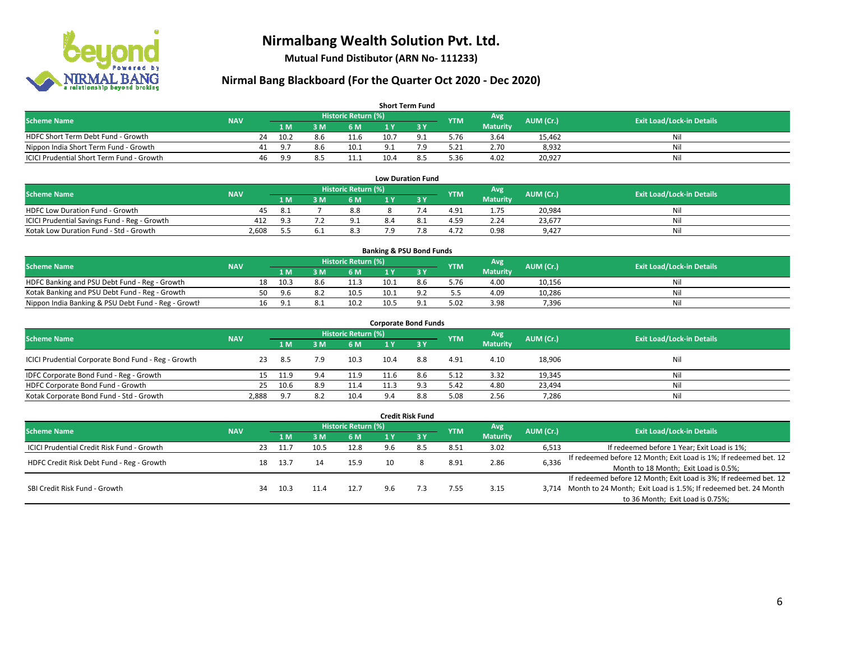

**Mutual Fund Distibutor (ARN No- 111233)**

### **Nirmal Bang Blackboard (For the Quarter Oct 2020 - Dec 2020)**

| <b>Short Term Fund</b>                           |            |    |       |     |                     |          |                |            |                 |           |                                  |  |  |
|--------------------------------------------------|------------|----|-------|-----|---------------------|----------|----------------|------------|-----------------|-----------|----------------------------------|--|--|
| <b>Scheme Name</b>                               | <b>NAV</b> |    |       |     | Historic Return (%) |          |                | <b>YTM</b> | <b>Avg</b>      | AUM (Cr.) | <b>Exit Load/Lock-in Details</b> |  |  |
|                                                  |            |    | 1 M   | 3 M | 6 M                 |          |                |            | <b>Maturity</b> |           |                                  |  |  |
| HDFC Short Term Debt Fund - Growth               |            | 24 | 10.2  | 8.6 | 11.6                | 10.7     | Q <sub>1</sub> | 5.76       | 3.64            | 15,462    | Nil                              |  |  |
| Nippon India Short Term Fund - Growth            |            |    | . ባ 7 | 8.6 | 10.1                | $\alpha$ | 70.            | 5.21       | 2.70            | 8,932     | Nil                              |  |  |
| <b>ICICI Prudential Short Term Fund - Growth</b> |            | 46 | 9.9   | 8.5 | 11.1                | 10.4     | 8.5            | 5.36       | 4.02            | 20,927    | Nil                              |  |  |

|                                              |            |                     |  |     |     | <b>Low Duration Fund</b> |            |                 |           |                                  |
|----------------------------------------------|------------|---------------------|--|-----|-----|--------------------------|------------|-----------------|-----------|----------------------------------|
| <b>Scheme Name</b>                           | <b>NAV</b> | Historic Return (%) |  |     |     |                          | <b>YTM</b> | Avg             | AUM (Cr.) | <b>Exit Load/Lock-in Details</b> |
|                                              |            | 1 M                 |  | 6 M |     |                          |            | <b>Maturity</b> |           |                                  |
| <b>HDFC Low Duration Fund - Growth</b>       | 45         | -8.1                |  | 8.8 |     |                          | 4.91       | 1.75            | 20,984    | Nil                              |
| ICICI Prudential Savings Fund - Reg - Growth | 412        | 9.3                 |  | 9.1 | 8.4 |                          | 4.59       | 2.24            | 23,677    | Nil                              |
| Kotak Low Duration Fund - Std - Growth       | 2,608      | _ _                 |  | 8.3 | 7 Q |                          | 4.72       | 0.98            | 9.427     | Nil                              |

| <b>Banking &amp; PSU Bond Funds</b>                 |            |    |       |     |                     |      |     |            |                 |           |                                  |  |  |
|-----------------------------------------------------|------------|----|-------|-----|---------------------|------|-----|------------|-----------------|-----------|----------------------------------|--|--|
| <b>Scheme Name</b>                                  | <b>NAV</b> |    |       |     | Historic Return (%) |      |     | <b>YTM</b> | Avg             | AUM (Cr.) | <b>Exit Load/Lock-in Details</b> |  |  |
|                                                     |            |    | 1 M   | . M | 6 M                 |      |     |            | <b>Maturity</b> |           |                                  |  |  |
| HDFC Banking and PSU Debt Fund - Reg - Growth       |            | 18 | 10.3  | 8.6 | 11.3                | 10.1 | 8.6 | 5.76       | 4.00            | 10,156    | Nil                              |  |  |
| Kotak Banking and PSU Debt Fund - Reg - Growth      |            | 50 | - ዓ 6 |     | 10.5                | 10.1 |     | 5.5        | 4.09            | 10.286    | Nil                              |  |  |
| Nippon India Banking & PSU Debt Fund - Reg - Growth |            | 16 | . G   |     | 10.2                | 10.5 |     | 5.02       | 3.98            | 7,396     | Nil                              |  |  |

| <b>Corporate Bond Funds</b>                         |            |      |     |                            |      |        |            |                 |           |                                  |  |  |  |  |
|-----------------------------------------------------|------------|------|-----|----------------------------|------|--------|------------|-----------------|-----------|----------------------------------|--|--|--|--|
| <b>Scheme Name</b>                                  | <b>NAV</b> |      |     | <b>Historic Return (%)</b> |      |        | <b>YTM</b> | Avg             | AUM (Cr.) | <b>Exit Load/Lock-in Details</b> |  |  |  |  |
|                                                     |            | 1 M  | 3 M | 6 M                        | 1 Y  | $Z_3V$ |            | <b>Maturity</b> |           |                                  |  |  |  |  |
| ICICI Prudential Corporate Bond Fund - Reg - Growth | 23         | -8.5 | 7.9 | 10.3                       | 10.4 | 8.8    | 4.91       | 4.10            | 18,906    | Nil                              |  |  |  |  |
| IDFC Corporate Bond Fund - Reg - Growth             |            | 11.9 | 9.4 | 11.9                       | 11.6 | 8.6    | 5.12       | 3.32            | 19,345    | Nil                              |  |  |  |  |
| HDFC Corporate Bond Fund - Growth                   | 25         | 10.6 | 8.9 | 11.4                       | 11.3 |        | 5.42       | 4.80            | 23,494    | Nil                              |  |  |  |  |
| Kotak Corporate Bond Fund - Std - Growth            | 2,888      | 9.7  | 8.2 | 10.4                       | 9.4  | 8.8    | 5.08       | 2.56            | 7,286     | Nil                              |  |  |  |  |

|                                            |            |    |      |      |                     |     | <b>Credit Risk Fund</b> |            |                        |           |                                                                       |
|--------------------------------------------|------------|----|------|------|---------------------|-----|-------------------------|------------|------------------------|-----------|-----------------------------------------------------------------------|
| <b>Scheme Name</b>                         | <b>NAV</b> |    |      |      | Historic Return (%) |     |                         | <b>YTM</b> | Avg<br><b>Maturity</b> | AUM (Cr.) | <b>Exit Load/Lock-in Details</b>                                      |
|                                            |            |    |      | 3 M  | 6 M                 |     | <b>73Y</b>              |            |                        |           |                                                                       |
| ICICI Prudential Credit Risk Fund - Growth |            | 23 | 11.  | 10.! | 12.8                | 9.6 | 8.5                     | 8.51       | 3.02                   | 6,513     | If redeemed before 1 Year; Exit Load is 1%;                           |
| HDFC Credit Risk Debt Fund - Reg - Growth  |            | 18 | 13.7 | 14   | 15.9                | 10  |                         | 8.91       | 2.86                   | 6,336     | If redeemed before 12 Month; Exit Load is 1%; If redeemed bet. 12     |
|                                            |            |    |      |      |                     |     |                         |            |                        |           | Month to 18 Month; Exit Load is 0.5%;                                 |
| SBI Credit Risk Fund - Growth              |            |    |      |      |                     |     |                         |            |                        |           | If redeemed before 12 Month; Exit Load is 3%; If redeemed bet. 12     |
|                                            |            | 34 | 10.3 |      | 12.7                | 9.6 |                         | 7.55       | 3.15                   |           | 3,714 Month to 24 Month; Exit Load is 1.5%; If redeemed bet. 24 Month |
|                                            |            |    |      |      |                     |     |                         |            |                        |           | to 36 Month; Exit Load is 0.75%;                                      |

#### 6